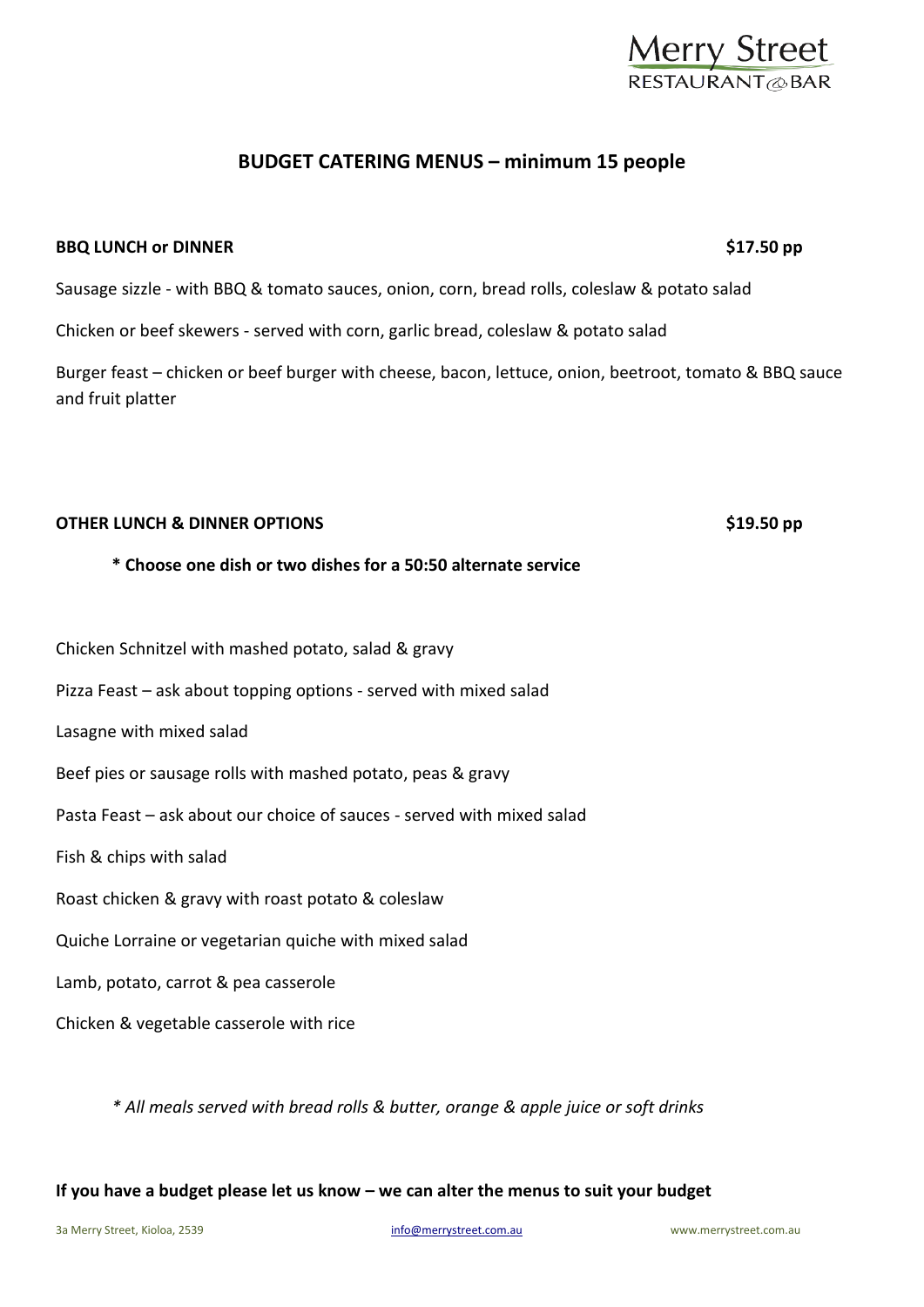## **BUDGET CATERING MENUS – minimum 15 people**

### **BBQ LUNCH or DINNER \$17.50 pp**

Sausage sizzle - with BBQ & tomato sauces, onion, corn, bread rolls, coleslaw & potato salad

Chicken or beef skewers - served with corn, garlic bread, coleslaw & potato salad

Burger feast – chicken or beef burger with cheese, bacon, lettuce, onion, beetroot, tomato & BBQ sauce and fruit platter

## **OTHER LUNCH & DINNER OPTIONS S19.50 pp**

**\* Choose one dish or two dishes for a 50:50 alternate service**

Chicken Schnitzel with mashed potato, salad & gravy Pizza Feast – ask about topping options - served with mixed salad Lasagne with mixed salad Beef pies or sausage rolls with mashed potato, peas & gravy Pasta Feast – ask about our choice of sauces - served with mixed salad Fish & chips with salad Roast chicken & gravy with roast potato & coleslaw Quiche Lorraine or vegetarian quiche with mixed salad Lamb, potato, carrot & pea casserole Chicken & vegetable casserole with rice

*\* All meals served with bread rolls & butter, orange & apple juice or soft drinks*

## **If you have a budget please let us know – we can alter the menus to suit your budget**